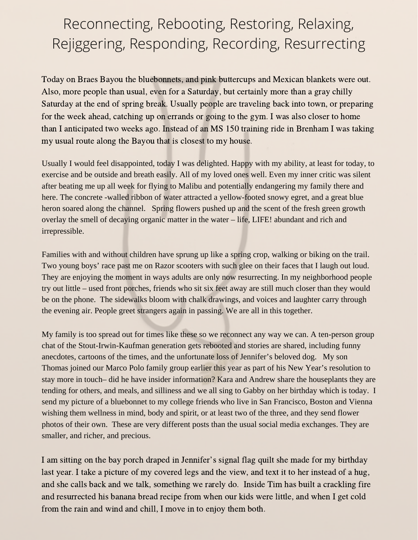## Reconnecting, Rebooting, Restoring, Relaxing, Rejiggering, Responding, Recording, Resurrecting

Today on Braes Bayou the bluebonnets, and pink buttercups and Mexican blankets were out. Also, more people than usual, even for a Saturday, but certainly more than a gray chilly Saturday at the end of spring break. Usually people are traveling back into town, or preparing for the week ahead, catching up on errands or going to the gym. I was also closer to home than I anticipated two weeks ago. Instead of an MS 150 training ride in Brenham I was taking my usual route along the Bayou that is closest to my house.

Usually I would feel disappointed, today I was delighted. Happy with my ability, at least for today, to exercise and be outside and breath easily. All of my loved ones well. Even my inner critic was silent after beating me up all week for flying to Malibu and potentially endangering my family there and here. The concrete -walled ribbon of water attracted a yellow-footed snowy egret, and a great blue heron soared along the channel. Spring flowers pushed up and the scent of the fresh green growth overlay the smell of decaying organic matter in the water – life, LIFE! abundant and rich and irrepressible.

Families with and without children have sprung up like a spring crop, walking or biking on the trail. Two young boys' race past me on Razor scooters with such glee on their faces that I laugh out loud. They are enjoying the moment in ways adults are only now resurrecting. In my neighborhood people try out little – used front porches, friends who sit six feet away are still much closer than they would be on the phone. The sidewalks bloom with chalk drawings, and voices and laughter carry through the evening air. People greet strangers again in passing. We are all in this together.

My family is too spread out for times like these so we reconnect any way we can. A ten-person group chat of the Stout-Irwin-Kaufman generation gets rebooted and stories are shared, including funny anecdotes, cartoons of the times, and the unfortunate loss of Jennifer's beloved dog. My son Thomas joined our Marco Polo family group earlier this year as part of his New Year's resolution to stay more in touch– did he have insider information? Kara and Andrew share the houseplants they are tending for others, and meals, and silliness and we all sing to Gabby on her birthday which is today. I send my picture of a bluebonnet to my college friends who live in San Francisco, Boston and Vienna wishing them wellness in mind, body and spirit, or at least two of the three, and they send flower photos of their own. These are very different posts than the usual social media exchanges. They are smaller, and richer, and precious.

<sup>I</sup> am sitting on the bay porch draped in Jennifer's signal flag quilt she made for my birthday last year. I take a picture of my covered legs and the view, and text it to her instead of a hug, and she calls back and we talk, something we rarely do. Inside Tim has built a crackling fire and resurrected his banana bread recipe from when our kids were little, and when I get cold from the rain and wind and chill, I move in to enjoy them both.